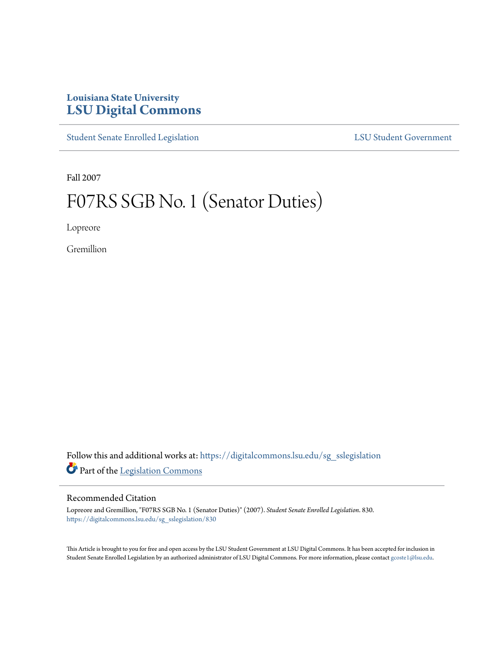## **Louisiana State University [LSU Digital Commons](https://digitalcommons.lsu.edu?utm_source=digitalcommons.lsu.edu%2Fsg_sslegislation%2F830&utm_medium=PDF&utm_campaign=PDFCoverPages)**

[Student Senate Enrolled Legislation](https://digitalcommons.lsu.edu/sg_sslegislation?utm_source=digitalcommons.lsu.edu%2Fsg_sslegislation%2F830&utm_medium=PDF&utm_campaign=PDFCoverPages) [LSU Student Government](https://digitalcommons.lsu.edu/sg?utm_source=digitalcommons.lsu.edu%2Fsg_sslegislation%2F830&utm_medium=PDF&utm_campaign=PDFCoverPages)

Fall 2007

## F07RS SGB No. 1 (Senator Duties)

Lopreore

Gremillion

Follow this and additional works at: [https://digitalcommons.lsu.edu/sg\\_sslegislation](https://digitalcommons.lsu.edu/sg_sslegislation?utm_source=digitalcommons.lsu.edu%2Fsg_sslegislation%2F830&utm_medium=PDF&utm_campaign=PDFCoverPages) Part of the [Legislation Commons](http://network.bepress.com/hgg/discipline/859?utm_source=digitalcommons.lsu.edu%2Fsg_sslegislation%2F830&utm_medium=PDF&utm_campaign=PDFCoverPages)

## Recommended Citation

Lopreore and Gremillion, "F07RS SGB No. 1 (Senator Duties)" (2007). *Student Senate Enrolled Legislation*. 830. [https://digitalcommons.lsu.edu/sg\\_sslegislation/830](https://digitalcommons.lsu.edu/sg_sslegislation/830?utm_source=digitalcommons.lsu.edu%2Fsg_sslegislation%2F830&utm_medium=PDF&utm_campaign=PDFCoverPages)

This Article is brought to you for free and open access by the LSU Student Government at LSU Digital Commons. It has been accepted for inclusion in Student Senate Enrolled Legislation by an authorized administrator of LSU Digital Commons. For more information, please contact [gcoste1@lsu.edu.](mailto:gcoste1@lsu.edu)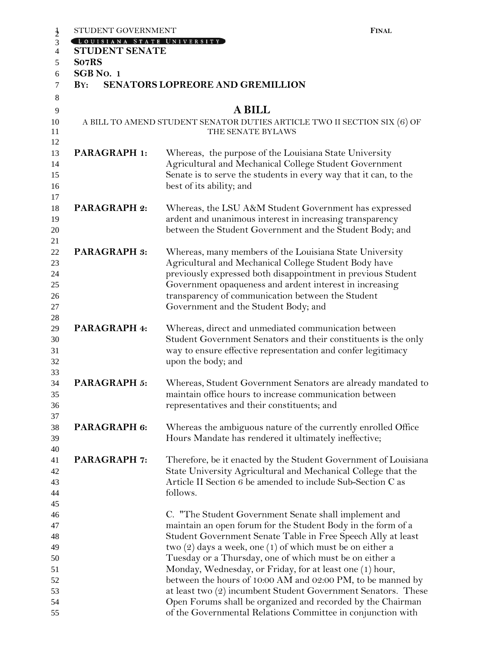|                                                                | STUDENT GOVERNMENT                      |                                                                                                                                                                                                                                                                                                                                                                                                                                                                                                                                                                                                                                             | <b>FINAL</b> |  |  |
|----------------------------------------------------------------|-----------------------------------------|---------------------------------------------------------------------------------------------------------------------------------------------------------------------------------------------------------------------------------------------------------------------------------------------------------------------------------------------------------------------------------------------------------------------------------------------------------------------------------------------------------------------------------------------------------------------------------------------------------------------------------------------|--------------|--|--|
| $\frac{1}{2}$                                                  | LOUISIANA STATE UNIVERSITY              |                                                                                                                                                                                                                                                                                                                                                                                                                                                                                                                                                                                                                                             |              |  |  |
| $\overline{4}$                                                 | <b>STUDENT SENATE</b>                   |                                                                                                                                                                                                                                                                                                                                                                                                                                                                                                                                                                                                                                             |              |  |  |
| 5                                                              | So7RS                                   |                                                                                                                                                                                                                                                                                                                                                                                                                                                                                                                                                                                                                                             |              |  |  |
| 6                                                              | SGB No. 1                               |                                                                                                                                                                                                                                                                                                                                                                                                                                                                                                                                                                                                                                             |              |  |  |
| 7                                                              | SENATORS LOPREORE AND GREMILLION<br>BY: |                                                                                                                                                                                                                                                                                                                                                                                                                                                                                                                                                                                                                                             |              |  |  |
| 8                                                              |                                         |                                                                                                                                                                                                                                                                                                                                                                                                                                                                                                                                                                                                                                             |              |  |  |
|                                                                |                                         |                                                                                                                                                                                                                                                                                                                                                                                                                                                                                                                                                                                                                                             |              |  |  |
| 9                                                              | <b>A BILL</b>                           |                                                                                                                                                                                                                                                                                                                                                                                                                                                                                                                                                                                                                                             |              |  |  |
| 10<br>11<br>12                                                 |                                         | A BILL TO AMEND STUDENT SENATOR DUTIES ARTICLE TWO II SECTION SIX (6) OF<br>THE SENATE BYLAWS                                                                                                                                                                                                                                                                                                                                                                                                                                                                                                                                               |              |  |  |
| 13<br>14<br>15<br>16<br>17                                     | <b>PARAGRAPH 1:</b>                     | Whereas, the purpose of the Louisiana State University<br>Agricultural and Mechanical College Student Government<br>Senate is to serve the students in every way that it can, to the<br>best of its ability; and                                                                                                                                                                                                                                                                                                                                                                                                                            |              |  |  |
| 18<br>19<br>20                                                 | <b>PARAGRAPH 2:</b>                     | Whereas, the LSU A&M Student Government has expressed<br>ardent and unanimous interest in increasing transparency<br>between the Student Government and the Student Body; and                                                                                                                                                                                                                                                                                                                                                                                                                                                               |              |  |  |
| 21<br>22<br>23<br>24<br>25<br>26<br>27<br>28                   | <b>PARAGRAPH 3:</b>                     | Whereas, many members of the Louisiana State University<br>Agricultural and Mechanical College Student Body have<br>previously expressed both disappointment in previous Student<br>Government opaqueness and ardent interest in increasing<br>transparency of communication between the Student<br>Government and the Student Body; and                                                                                                                                                                                                                                                                                                    |              |  |  |
| 29<br>30<br>31<br>32<br>33                                     | PARAGRAPH 4:                            | Whereas, direct and unmediated communication between<br>Student Government Senators and their constituents is the only<br>way to ensure effective representation and confer legitimacy<br>upon the body; and                                                                                                                                                                                                                                                                                                                                                                                                                                |              |  |  |
| 34<br>35<br>36<br>37                                           | PARAGRAPH 5:                            | Whereas, Student Government Senators are already mandated to<br>maintain office hours to increase communication between<br>representatives and their constituents; and                                                                                                                                                                                                                                                                                                                                                                                                                                                                      |              |  |  |
| 38<br>39<br>40                                                 | PARAGRAPH 6:                            | Whereas the ambiguous nature of the currently enrolled Office<br>Hours Mandate has rendered it ultimately ineffective;                                                                                                                                                                                                                                                                                                                                                                                                                                                                                                                      |              |  |  |
| 41<br>42<br>43<br>44                                           | <b>PARAGRAPH 7:</b>                     | Therefore, be it enacted by the Student Government of Louisiana<br>State University Agricultural and Mechanical College that the<br>Article II Section 6 be amended to include Sub-Section C as<br>follows.                                                                                                                                                                                                                                                                                                                                                                                                                                 |              |  |  |
| 45<br>46<br>47<br>48<br>49<br>50<br>51<br>52<br>53<br>54<br>55 |                                         | C. "The Student Government Senate shall implement and<br>maintain an open forum for the Student Body in the form of a<br>Student Government Senate Table in Free Speech Ally at least<br>two $(2)$ days a week, one $(1)$ of which must be on either a<br>Tuesday or a Thursday, one of which must be on either a<br>Monday, Wednesday, or Friday, for at least one (1) hour,<br>between the hours of 10:00 AM and 02:00 PM, to be manned by<br>at least two (2) incumbent Student Government Senators. These<br>Open Forums shall be organized and recorded by the Chairman<br>of the Governmental Relations Committee in conjunction with |              |  |  |